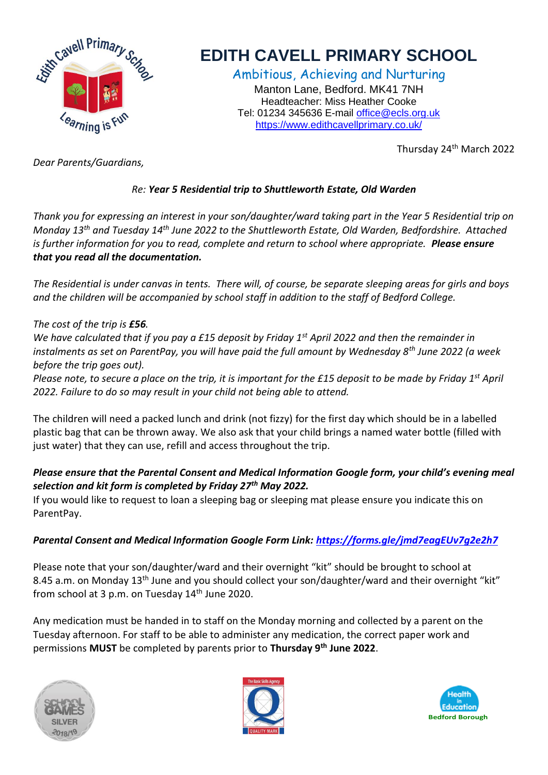

# **EDITH CAVELL PRIMARY SCHOOL**

Ambitious, Achieving and Nurturing Manton Lane, Bedford. MK41 7NH Headteacher: Miss Heather Cooke Tel: 01234 345636 E-mail [office@ecls.org.uk](mailto:office@ecls.org.uk) <https://www.edithcavellprimary.co.uk/>

Thursday 24th March 2022

*Dear Parents/Guardians,*

## *Re: Year 5 Residential trip to Shuttleworth Estate, Old Warden*

*Thank you for expressing an interest in your son/daughter/ward taking part in the Year 5 Residential trip on Monday 13th and Tuesday 14th June 2022 to the Shuttleworth Estate, Old Warden, Bedfordshire. Attached is further information for you to read, complete and return to school where appropriate. Please ensure that you read all the documentation.* 

*The Residential is under canvas in tents. There will, of course, be separate sleeping areas for girls and boys and the children will be accompanied by school staff in addition to the staff of Bedford College.*

#### *The cost of the trip is £56.*

*We have calculated that if you pay a £15 deposit by Friday 1st April 2022 and then the remainder in instalments as set on ParentPay, you will have paid the full amount by Wednesday 8th June 2022 (a week before the trip goes out).*

*Please note, to secure a place on the trip, it is important for the £15 deposit to be made by Friday 1st April 2022. Failure to do so may result in your child not being able to attend.* 

The children will need a packed lunch and drink (not fizzy) for the first day which should be in a labelled plastic bag that can be thrown away. We also ask that your child brings a named water bottle (filled with just water) that they can use, refill and access throughout the trip.

## *Please ensure that the Parental Consent and Medical Information Google form, your child's evening meal selection and kit form is completed by Friday 27th May 2022.*

If you would like to request to loan a sleeping bag or sleeping mat please ensure you indicate this on ParentPay.

### *Parental Consent and Medical Information Google Form Link:<https://forms.gle/jmd7eagEUv7g2e2h7>*

Please note that your son/daughter/ward and their overnight "kit" should be brought to school at 8.45 a.m. on Monday 13<sup>th</sup> June and you should collect your son/daughter/ward and their overnight "kit" from school at 3 p.m. on Tuesday 14<sup>th</sup> June 2020.

Any medication must be handed in to staff on the Monday morning and collected by a parent on the Tuesday afternoon. For staff to be able to administer any medication, the correct paper work and permissions **MUST** be completed by parents prior to **Thursday 9th June 2022**.